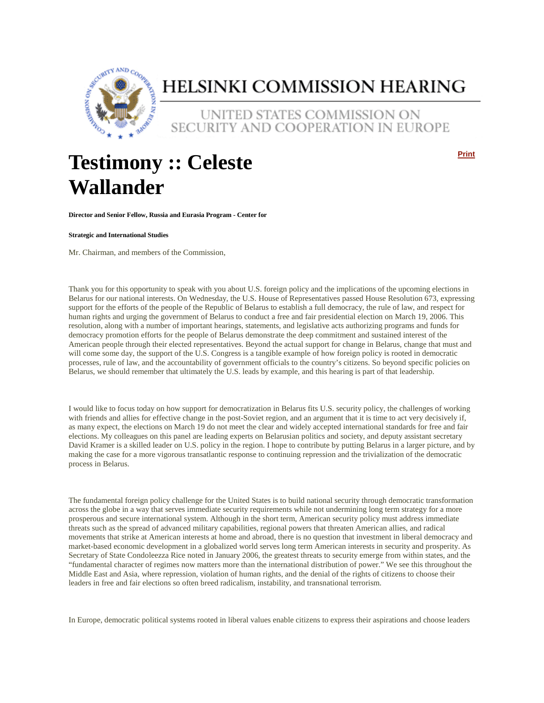

# HELSINKI COMMISSION HEARING

UNITED STATES COMMISSION ON SECURITY AND COOPERATION IN EUROPE

# **Testimony :: Celeste Wallander**

**Print**

**Director and Senior Fellow, Russia and Eurasia Program - Center for** 

**Strategic and International Studies**

Mr. Chairman, and members of the Commission,

Thank you for this opportunity to speak with you about U.S. foreign policy and the implications of the upcoming elections in Belarus for our national interests. On Wednesday, the U.S. House of Representatives passed House Resolution 673, expressing support for the efforts of the people of the Republic of Belarus to establish a full democracy, the rule of law, and respect for human rights and urging the government of Belarus to conduct a free and fair presidential election on March 19, 2006. This resolution, along with a number of important hearings, statements, and legislative acts authorizing programs and funds for democracy promotion efforts for the people of Belarus demonstrate the deep commitment and sustained interest of the American people through their elected representatives. Beyond the actual support for change in Belarus, change that must and will come some day, the support of the U.S. Congress is a tangible example of how foreign policy is rooted in democratic processes, rule of law, and the accountability of government officials to the country's citizens. So beyond specific policies on Belarus, we should remember that ultimately the U.S. leads by example, and this hearing is part of that leadership.

I would like to focus today on how support for democratization in Belarus fits U.S. security policy, the challenges of working with friends and allies for effective change in the post-Soviet region, and an argument that it is time to act very decisively if, as many expect, the elections on March 19 do not meet the clear and widely accepted international standards for free and fair elections. My colleagues on this panel are leading experts on Belarusian politics and society, and deputy assistant secretary David Kramer is a skilled leader on U.S. policy in the region. I hope to contribute by putting Belarus in a larger picture, and by making the case for a more vigorous transatlantic response to continuing repression and the trivialization of the democratic process in Belarus.

The fundamental foreign policy challenge for the United States is to build national security through democratic transformation across the globe in a way that serves immediate security requirements while not undermining long term strategy for a more prosperous and secure international system. Although in the short term, American security policy must address immediate threats such as the spread of advanced military capabilities, regional powers that threaten American allies, and radical movements that strike at American interests at home and abroad, there is no question that investment in liberal democracy and market-based economic development in a globalized world serves long term American interests in security and prosperity. As Secretary of State Condoleezza Rice noted in January 2006, the greatest threats to security emerge from within states, and the "fundamental character of regimes now matters more than the international distribution of power." We see this throughout the Middle East and Asia, where repression, violation of human rights, and the denial of the rights of citizens to choose their leaders in free and fair elections so often breed radicalism, instability, and transnational terrorism.

In Europe, democratic political systems rooted in liberal values enable citizens to express their aspirations and choose leaders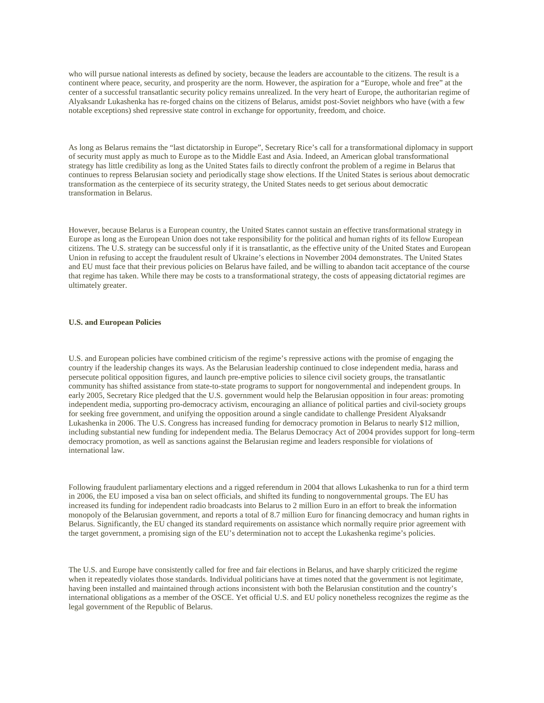who will pursue national interests as defined by society, because the leaders are accountable to the citizens. The result is a continent where peace, security, and prosperity are the norm. However, the aspiration for a "Europe, whole and free" at the center of a successful transatlantic security policy remains unrealized. In the very heart of Europe, the authoritarian regime of Alyaksandr Lukashenka has re-forged chains on the citizens of Belarus, amidst post-Soviet neighbors who have (with a few notable exceptions) shed repressive state control in exchange for opportunity, freedom, and choice.

As long as Belarus remains the "last dictatorship in Europe", Secretary Rice's call for a transformational diplomacy in support of security must apply as much to Europe as to the Middle East and Asia. Indeed, an American global transformational strategy has little credibility as long as the United States fails to directly confront the problem of a regime in Belarus that continues to repress Belarusian society and periodically stage show elections. If the United States is serious about democratic transformation as the centerpiece of its security strategy, the United States needs to get serious about democratic transformation in Belarus.

However, because Belarus is a European country, the United States cannot sustain an effective transformational strategy in Europe as long as the European Union does not take responsibility for the political and human rights of its fellow European citizens. The U.S. strategy can be successful only if it is transatlantic, as the effective unity of the United States and European Union in refusing to accept the fraudulent result of Ukraine's elections in November 2004 demonstrates. The United States and EU must face that their previous policies on Belarus have failed, and be willing to abandon tacit acceptance of the course that regime has taken. While there may be costs to a transformational strategy, the costs of appeasing dictatorial regimes are ultimately greater.

### **U.S. and European Policies**

U.S. and European policies have combined criticism of the regime's repressive actions with the promise of engaging the country if the leadership changes its ways. As the Belarusian leadership continued to close independent media, harass and persecute political opposition figures, and launch pre-emptive policies to silence civil society groups, the transatlantic community has shifted assistance from state-to-state programs to support for nongovernmental and independent groups. In early 2005, Secretary Rice pledged that the U.S. government would help the Belarusian opposition in four areas: promoting independent media, supporting pro-democracy activism, encouraging an alliance of political parties and civil-society groups for seeking free government, and unifying the opposition around a single candidate to challenge President Alyaksandr Lukashenka in 2006. The U.S. Congress has increased funding for democracy promotion in Belarus to nearly \$12 million, including substantial new funding for independent media. The Belarus Democracy Act of 2004 provides support for long–term democracy promotion, as well as sanctions against the Belarusian regime and leaders responsible for violations of international law.

Following fraudulent parliamentary elections and a rigged referendum in 2004 that allows Lukashenka to run for a third term in 2006, the EU imposed a visa ban on select officials, and shifted its funding to nongovernmental groups. The EU has increased its funding for independent radio broadcasts into Belarus to 2 million Euro in an effort to break the information monopoly of the Belarusian government, and reports a total of 8.7 million Euro for financing democracy and human rights in Belarus. Significantly, the EU changed its standard requirements on assistance which normally require prior agreement with the target government, a promising sign of the EU's determination not to accept the Lukashenka regime's policies.

The U.S. and Europe have consistently called for free and fair elections in Belarus, and have sharply criticized the regime when it repeatedly violates those standards. Individual politicians have at times noted that the government is not legitimate, having been installed and maintained through actions inconsistent with both the Belarusian constitution and the country's international obligations as a member of the OSCE. Yet official U.S. and EU policy nonetheless recognizes the regime as the legal government of the Republic of Belarus.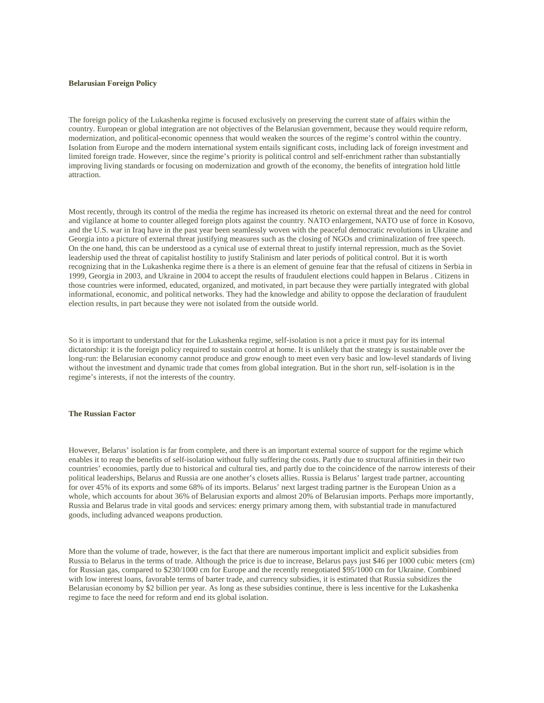#### **Belarusian Foreign Policy**

The foreign policy of the Lukashenka regime is focused exclusively on preserving the current state of affairs within the country. European or global integration are not objectives of the Belarusian government, because they would require reform, modernization, and political-economic openness that would weaken the sources of the regime's control within the country. Isolation from Europe and the modern international system entails significant costs, including lack of foreign investment and limited foreign trade. However, since the regime's priority is political control and self-enrichment rather than substantially improving living standards or focusing on modernization and growth of the economy, the benefits of integration hold little attraction.

Most recently, through its control of the media the regime has increased its rhetoric on external threat and the need for control and vigilance at home to counter alleged foreign plots against the country. NATO enlargement, NATO use of force in Kosovo, and the U.S. war in Iraq have in the past year been seamlessly woven with the peaceful democratic revolutions in Ukraine and Georgia into a picture of external threat justifying measures such as the closing of NGOs and criminalization of free speech. On the one hand, this can be understood as a cynical use of external threat to justify internal repression, much as the Soviet leadership used the threat of capitalist hostility to justify Stalinism and later periods of political control. But it is worth recognizing that in the Lukashenka regime there is a there is an element of genuine fear that the refusal of citizens in Serbia in 1999, Georgia in 2003, and Ukraine in 2004 to accept the results of fraudulent elections could happen in Belarus . Citizens in those countries were informed, educated, organized, and motivated, in part because they were partially integrated with global informational, economic, and political networks. They had the knowledge and ability to oppose the declaration of fraudulent election results, in part because they were not isolated from the outside world.

So it is important to understand that for the Lukashenka regime, self-isolation is not a price it must pay for its internal dictatorship: it is the foreign policy required to sustain control at home. It is unlikely that the strategy is sustainable over the long-run: the Belarusian economy cannot produce and grow enough to meet even very basic and low-level standards of living without the investment and dynamic trade that comes from global integration. But in the short run, self-isolation is in the regime's interests, if not the interests of the country.

#### **The Russian Factor**

However, Belarus' isolation is far from complete, and there is an important external source of support for the regime which enables it to reap the benefits of self-isolation without fully suffering the costs. Partly due to structural affinities in their two countries' economies, partly due to historical and cultural ties, and partly due to the coincidence of the narrow interests of their political leaderships, Belarus and Russia are one another's closets allies. Russia is Belarus' largest trade partner, accounting for over 45% of its exports and some 68% of its imports. Belarus' next largest trading partner is the European Union as a whole, which accounts for about 36% of Belarusian exports and almost 20% of Belarusian imports. Perhaps more importantly, Russia and Belarus trade in vital goods and services: energy primary among them, with substantial trade in manufactured goods, including advanced weapons production.

More than the volume of trade, however, is the fact that there are numerous important implicit and explicit subsidies from Russia to Belarus in the terms of trade. Although the price is due to increase, Belarus pays just \$46 per 1000 cubic meters (cm) for Russian gas, compared to \$230/1000 cm for Europe and the recently renegotiated \$95/1000 cm for Ukraine. Combined with low interest loans, favorable terms of barter trade, and currency subsidies, it is estimated that Russia subsidizes the Belarusian economy by \$2 billion per year. As long as these subsidies continue, there is less incentive for the Lukashenka regime to face the need for reform and end its global isolation.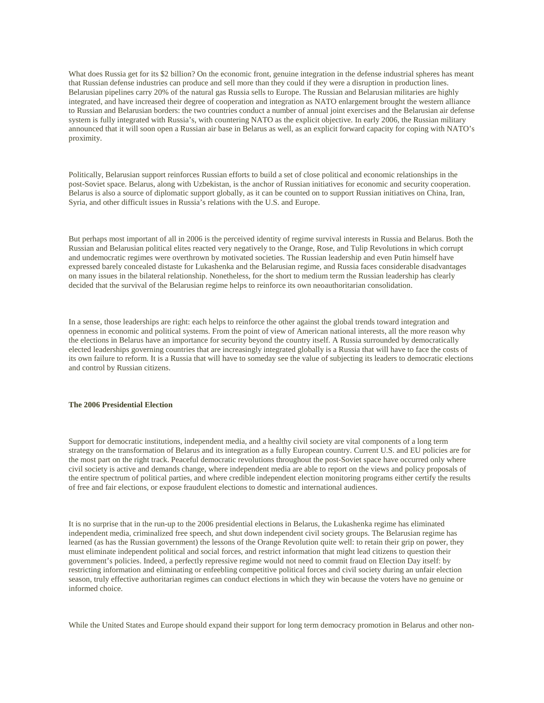What does Russia get for its \$2 billion? On the economic front, genuine integration in the defense industrial spheres has meant that Russian defense industries can produce and sell more than they could if they were a disruption in production lines. Belarusian pipelines carry 20% of the natural gas Russia sells to Europe. The Russian and Belarusian militaries are highly integrated, and have increased their degree of cooperation and integration as NATO enlargement brought the western alliance to Russian and Belarusian borders: the two countries conduct a number of annual joint exercises and the Belarusian air defense system is fully integrated with Russia's, with countering NATO as the explicit objective. In early 2006, the Russian military announced that it will soon open a Russian air base in Belarus as well, as an explicit forward capacity for coping with NATO's proximity.

Politically, Belarusian support reinforces Russian efforts to build a set of close political and economic relationships in the post-Soviet space. Belarus, along with Uzbekistan, is the anchor of Russian initiatives for economic and security cooperation. Belarus is also a source of diplomatic support globally, as it can be counted on to support Russian initiatives on China, Iran, Syria, and other difficult issues in Russia's relations with the U.S. and Europe.

But perhaps most important of all in 2006 is the perceived identity of regime survival interests in Russia and Belarus. Both the Russian and Belarusian political elites reacted very negatively to the Orange, Rose, and Tulip Revolutions in which corrupt and undemocratic regimes were overthrown by motivated societies. The Russian leadership and even Putin himself have expressed barely concealed distaste for Lukashenka and the Belarusian regime, and Russia faces considerable disadvantages on many issues in the bilateral relationship. Nonetheless, for the short to medium term the Russian leadership has clearly decided that the survival of the Belarusian regime helps to reinforce its own neoauthoritarian consolidation.

In a sense, those leaderships are right: each helps to reinforce the other against the global trends toward integration and openness in economic and political systems. From the point of view of American national interests, all the more reason why the elections in Belarus have an importance for security beyond the country itself. A Russia surrounded by democratically elected leaderships governing countries that are increasingly integrated globally is a Russia that will have to face the costs of its own failure to reform. It is a Russia that will have to someday see the value of subjecting its leaders to democratic elections and control by Russian citizens.

# **The 2006 Presidential Election**

Support for democratic institutions, independent media, and a healthy civil society are vital components of a long term strategy on the transformation of Belarus and its integration as a fully European country. Current U.S. and EU policies are for the most part on the right track. Peaceful democratic revolutions throughout the post-Soviet space have occurred only where civil society is active and demands change, where independent media are able to report on the views and policy proposals of the entire spectrum of political parties, and where credible independent election monitoring programs either certify the results of free and fair elections, or expose fraudulent elections to domestic and international audiences.

It is no surprise that in the run-up to the 2006 presidential elections in Belarus, the Lukashenka regime has eliminated independent media, criminalized free speech, and shut down independent civil society groups. The Belarusian regime has learned (as has the Russian government) the lessons of the Orange Revolution quite well: to retain their grip on power, they must eliminate independent political and social forces, and restrict information that might lead citizens to question their government's policies. Indeed, a perfectly repressive regime would not need to commit fraud on Election Day itself: by restricting information and eliminating or enfeebling competitive political forces and civil society during an unfair election season, truly effective authoritarian regimes can conduct elections in which they win because the voters have no genuine or informed choice.

While the United States and Europe should expand their support for long term democracy promotion in Belarus and other non-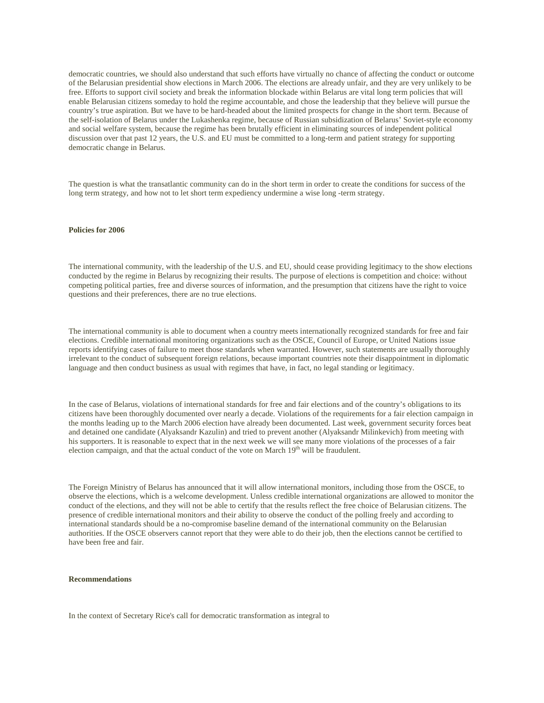democratic countries, we should also understand that such efforts have virtually no chance of affecting the conduct or outcome of the Belarusian presidential show elections in March 2006. The elections are already unfair, and they are very unlikely to be free. Efforts to support civil society and break the information blockade within Belarus are vital long term policies that will enable Belarusian citizens someday to hold the regime accountable, and chose the leadership that they believe will pursue the country's true aspiration. But we have to be hard-headed about the limited prospects for change in the short term. Because of the self-isolation of Belarus under the Lukashenka regime, because of Russian subsidization of Belarus' Soviet-style economy and social welfare system, because the regime has been brutally efficient in eliminating sources of independent political discussion over that past 12 years, the U.S. and EU must be committed to a long-term and patient strategy for supporting democratic change in Belarus.

The question is what the transatlantic community can do in the short term in order to create the conditions for success of the long term strategy, and how not to let short term expediency undermine a wise long -term strategy.

# **Policies for 2006**

The international community, with the leadership of the U.S. and EU, should cease providing legitimacy to the show elections conducted by the regime in Belarus by recognizing their results. The purpose of elections is competition and choice: without competing political parties, free and diverse sources of information, and the presumption that citizens have the right to voice questions and their preferences, there are no true elections.

The international community is able to document when a country meets internationally recognized standards for free and fair elections. Credible international monitoring organizations such as the OSCE, Council of Europe, or United Nations issue reports identifying cases of failure to meet those standards when warranted. However, such statements are usually thoroughly irrelevant to the conduct of subsequent foreign relations, because important countries note their disappointment in diplomatic language and then conduct business as usual with regimes that have, in fact, no legal standing or legitimacy.

In the case of Belarus, violations of international standards for free and fair elections and of the country's obligations to its citizens have been thoroughly documented over nearly a decade. Violations of the requirements for a fair election campaign in the months leading up to the March 2006 election have already been documented. Last week, government security forces beat and detained one candidate (Alyaksandr Kazulin) and tried to prevent another (Alyaksandr Milinkevich) from meeting with his supporters. It is reasonable to expect that in the next week we will see many more violations of the processes of a fair election campaign, and that the actual conduct of the vote on March 19<sup>th</sup> will be fraudulent.

The Foreign Ministry of Belarus has announced that it will allow international monitors, including those from the OSCE, to observe the elections, which is a welcome development. Unless credible international organizations are allowed to monitor the conduct of the elections, and they will not be able to certify that the results reflect the free choice of Belarusian citizens. The presence of credible international monitors and their ability to observe the conduct of the polling freely and according to international standards should be a no-compromise baseline demand of the international community on the Belarusian authorities. If the OSCE observers cannot report that they were able to do their job, then the elections cannot be certified to have been free and fair.

#### **Recommendations**

In the context of Secretary Rice's call for democratic transformation as integral to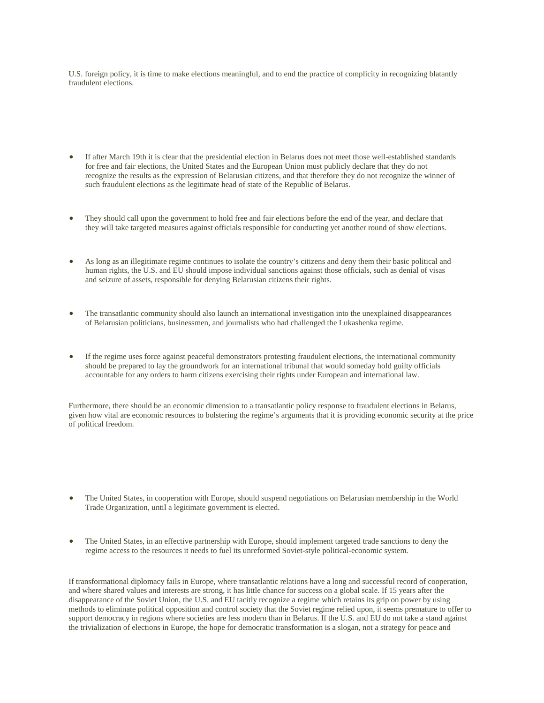U.S. foreign policy, it is time to make elections meaningful, and to end the practice of complicity in recognizing blatantly fraudulent elections.

- If after March 19th it is clear that the presidential election in Belarus does not meet those well-established standards for free and fair elections, the United States and the European Union must publicly declare that they do not recognize the results as the expression of Belarusian citizens, and that therefore they do not recognize the winner of such fraudulent elections as the legitimate head of state of the Republic of Belarus.
- They should call upon the government to hold free and fair elections before the end of the year, and declare that they will take targeted measures against officials responsible for conducting yet another round of show elections.
- As long as an illegitimate regime continues to isolate the country's citizens and deny them their basic political and human rights, the U.S. and EU should impose individual sanctions against those officials, such as denial of visas and seizure of assets, responsible for denying Belarusian citizens their rights.
- The transatlantic community should also launch an international investigation into the unexplained disappearances of Belarusian politicians, businessmen, and journalists who had challenged the Lukashenka regime.
- If the regime uses force against peaceful demonstrators protesting fraudulent elections, the international community should be prepared to lay the groundwork for an international tribunal that would someday hold guilty officials accountable for any orders to harm citizens exercising their rights under European and international law.

Furthermore, there should be an economic dimension to a transatlantic policy response to fraudulent elections in Belarus, given how vital are economic resources to bolstering the regime's arguments that it is providing economic security at the price of political freedom.

- The United States, in cooperation with Europe, should suspend negotiations on Belarusian membership in the World Trade Organization, until a legitimate government is elected.
- The United States, in an effective partnership with Europe, should implement targeted trade sanctions to deny the regime access to the resources it needs to fuel its unreformed Soviet-style political-economic system.

If transformational diplomacy fails in Europe, where transatlantic relations have a long and successful record of cooperation, and where shared values and interests are strong, it has little chance for success on a global scale. If 15 years after the disappearance of the Soviet Union, the U.S. and EU tacitly recognize a regime which retains its grip on power by using methods to eliminate political opposition and control society that the Soviet regime relied upon, it seems premature to offer to support democracy in regions where societies are less modern than in Belarus. If the U.S. and EU do not take a stand against the trivialization of elections in Europe, the hope for democratic transformation is a slogan, not a strategy for peace and